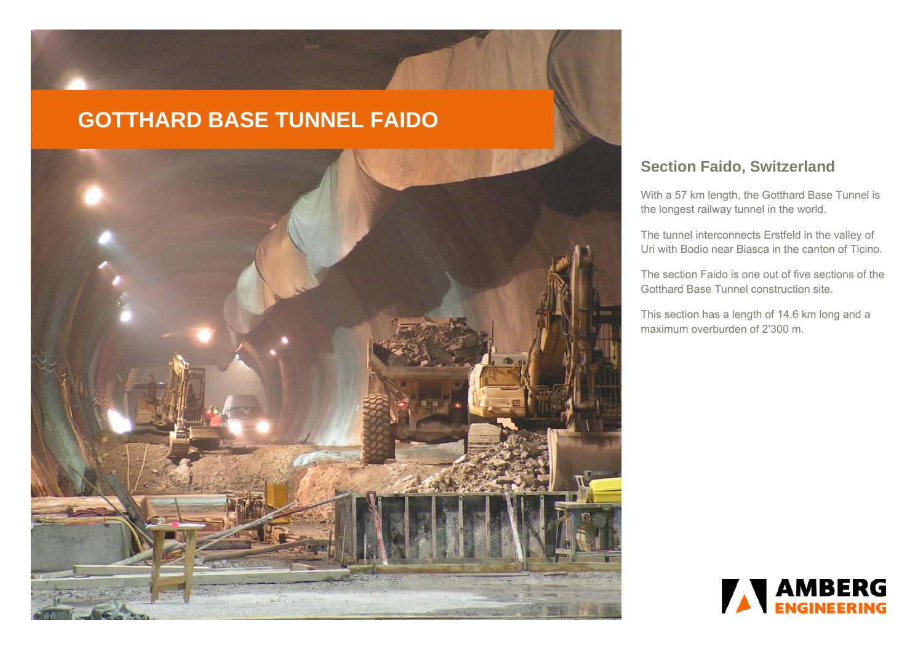# **GOTTHARD BASE TUNNEL FAIDO**



# **Section Faido, Switzerland**

With a 57 km length, the Gotthard Base Tunnel is the longest railway tunnel in the world.

The tunnel interconnects Erstfeld in the valley of Uri with Bodio near Biasca in the canton of Ticino.

The section Faido is one out of five sections of the Gotthard Base Tunnel construction site.

This section has a length of 14.6 km long and a maximum overburden of 2'300 m.